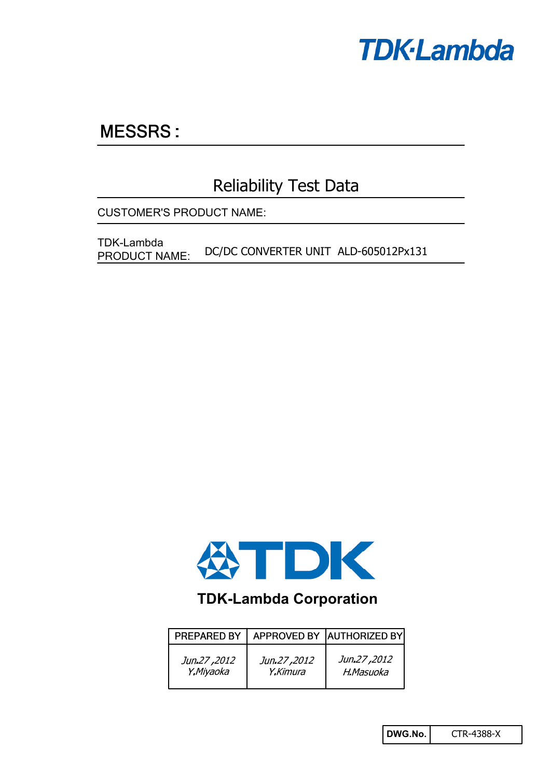

# **MESSRS:**

## Reliability Test Data

CUSTOMER'S PRODUCT NAME:

DC/DC CONVERTER UNIT ALD-605012Px131 TDK-Lambda PRODUCT NAME:



### **TDK-Lambda Corporation**

| PREPARED BY |             | APPROVED BY AUTHORIZED BY |
|-------------|-------------|---------------------------|
| Jun.27,2012 | Jun.27,2012 | Jun.27,2012               |
| Y.Miyaoka   | Y.Kimura    | H.Masuoka                 |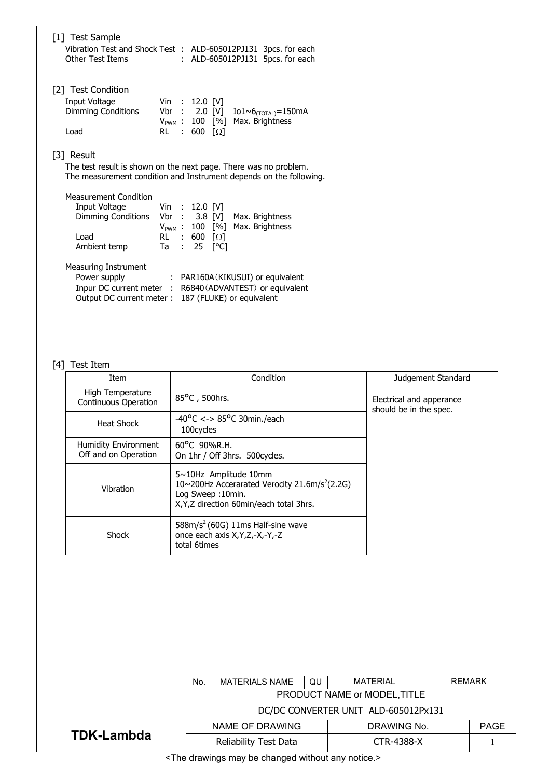| [1] Test Sample                                                                    |                                  |  |
|------------------------------------------------------------------------------------|----------------------------------|--|
| Vibration Test and Shock Test : ALD-605012PJ131 3pcs. for each<br>Other Test Items | : ALD-605012PJ131 5pcs. for each |  |

[2] Test Condition

| Input Voltage      | Vin : $12.0$ [V]  |                                            |
|--------------------|-------------------|--------------------------------------------|
| Dimming Conditions |                   | Vbr : 2.0 [V] Io1~6 $_{(TOTAL)}$ =150mA    |
|                    |                   | $V_{\text{PWM}}$ : 100 [%] Max. Brightness |
| Load               | RL : 600 $\Omega$ |                                            |

[3] Result

The test result is shown on the next page. There was no problem. The measurement condition and Instrument depends on the following.

| Measurement Condition                            |  |                           |                                            |
|--------------------------------------------------|--|---------------------------|--------------------------------------------|
| Input Voltage Vin : 12.0 [V]                     |  |                           |                                            |
| Dimming Conditions Vbr : 3.8 [V] Max. Brightness |  |                           |                                            |
|                                                  |  |                           | $V_{\text{PWM}}$ : 100 [%] Max. Brightness |
| Load                                             |  | RL : 600 $\Omega$         |                                            |
| Ambient temp                                     |  | Ta : 25 [ <sup>o</sup> C] |                                            |
|                                                  |  |                           |                                            |

| <b>Measuring Instrument</b> |
|-----------------------------|
|                             |

| Power supply | : PAR160A (KIKUSUI) or equivalent                        |
|--------------|----------------------------------------------------------|
|              | Inpur DC current meter : R6840 (ADVANTEST) or equivalent |
|              | Output DC current meter : 187 (FLUKE) or equivalent      |

### [4] Test Item

| Item                                                      | Condition                                                                                                                                                     | Judgement Standard                                 |
|-----------------------------------------------------------|---------------------------------------------------------------------------------------------------------------------------------------------------------------|----------------------------------------------------|
| High Temperature<br>85°C, 500hrs.<br>Continuous Operation |                                                                                                                                                               | Electrical and apperance<br>should be in the spec. |
| Heat Shock                                                | $-40^{\circ}$ C <-> 85°C 30min./each<br>100cycles                                                                                                             |                                                    |
| Humidity Environment<br>Off and on Operation              | $60^{\circ}$ C 90%R.H.<br>On 1hr / Off 3hrs. 500 cycles.                                                                                                      |                                                    |
| Vibration                                                 | $5 \sim 10$ Hz Amplitude 10mm<br>10~200Hz Accerarated Verocity 21.6m/s <sup>2</sup> (2.2G)<br>Log Sweep: 10min.<br>X, Y, Z direction 60 min/each total 3 hrs. |                                                    |
| Shock                                                     | $588m/s2$ (60G) 11ms Half-sine wave<br>once each axis X, Y, Z, -X, -Y, -Z<br>total 6times                                                                     |                                                    |

|                                                                                  | <b>MATERIAL</b><br><b>REMARK</b><br><b>MATERIALS NAME</b><br>QU<br>No. |  |  |                   |  |             |
|----------------------------------------------------------------------------------|------------------------------------------------------------------------|--|--|-------------------|--|-------------|
|                                                                                  | PRODUCT NAME or MODEL, TITLE                                           |  |  |                   |  |             |
|                                                                                  | DC/DC CONVERTER UNIT ALD-605012Px131                                   |  |  |                   |  |             |
|                                                                                  | NAME OF DRAWING                                                        |  |  | DRAWING No.       |  | <b>PAGE</b> |
| <b>TDK-Lambda</b>                                                                | Reliability Test Data                                                  |  |  | <b>CTR-4388-X</b> |  |             |
| the contract of the contract of the<br>the company of the company of the company |                                                                        |  |  |                   |  |             |

<The drawings may be changed without any notice.>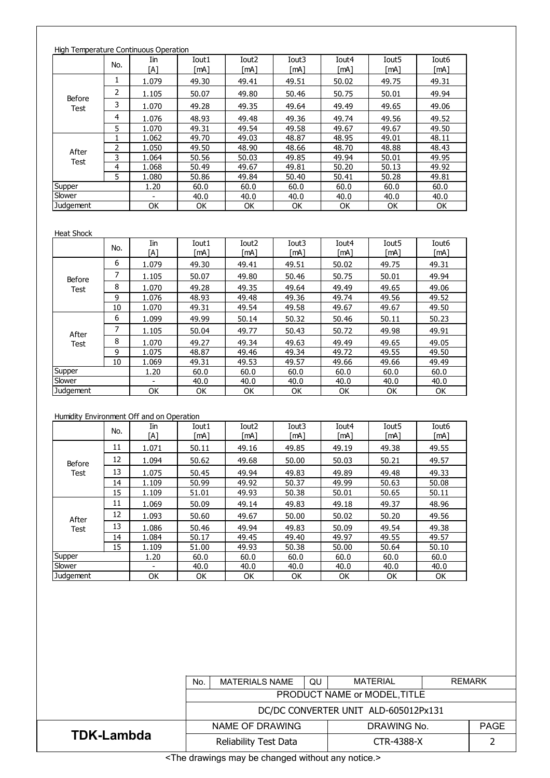| High Temperature Continuous Operation |     |            |               |                           |                           |               |                           |                           |
|---------------------------------------|-----|------------|---------------|---------------------------|---------------------------|---------------|---------------------------|---------------------------|
|                                       | No. | Iin<br>[A] | Iout1<br>[mA] | Iout <sub>2</sub><br>[mA] | Iout <sub>3</sub><br>[mA] | Iout4<br>[mA] | Iout <sub>5</sub><br>[mA] | Iout <sub>6</sub><br>[mA] |
|                                       | T   | 1.079      | 49.30         | 49.41                     | 49.51                     | 50.02         | 49.75                     | 49.31                     |
|                                       | 2   | 1.105      | 50.07         | 49.80                     | 50.46                     | 50.75         | 50.01                     | 49.94                     |
| Before<br>Test                        | 3   | 1.070      | 49.28         | 49.35                     | 49.64                     | 49.49         | 49.65                     | 49.06                     |
|                                       | 4   | 1.076      | 48.93         | 49.48                     | 49.36                     | 49.74         | 49.56                     | 49.52                     |
|                                       | 5.  | 1.070      | 49.31         | 49.54                     | 49.58                     | 49.67         | 49.67                     | 49.50                     |
|                                       |     | 1.062      | 49.70         | 49.03                     | 48.87                     | 48.95         | 49.01                     | 48.11                     |
| After                                 | 2   | 1.050      | 49.50         | 48.90                     | 48.66                     | 48.70         | 48.88                     | 48.43                     |
| <b>Test</b>                           | 3   | 1.064      | 50.56         | 50.03                     | 49.85                     | 49.94         | 50.01                     | 49.95                     |
|                                       | 4   | 1.068      | 50.49         | 49.67                     | 49.81                     | 50.20         | 50.13                     | 49.92                     |
|                                       | 5.  | 1.080      | 50.86         | 49.84                     | 50.40                     | 50.41         | 50.28                     | 49.81                     |
| <b>Supper</b>                         |     | 1.20       | 60.0          | 60.0                      | 60.0                      | 60.0          | 60.0                      | 60.0                      |
| Slower                                |     |            | 40.0          | 40.0                      | 40.0                      | 40.0          | 40.0                      | 40.0                      |
| <b>Judgement</b>                      |     | OK         | ОK            | ОΚ                        | OK                        | <b>OK</b>     | <b>OK</b>                 | OK                        |

#### Heat Shock

|             | No. | Iin<br>ΓA1               | Iout1<br>[mA] | Iout <sub>2</sub><br>「mA1 | Iout <sub>3</sub><br>[mA] | Iout4<br>[mA] | Iout <sub>5</sub><br>[mA] | Iout <sub>6</sub><br>[mA] |
|-------------|-----|--------------------------|---------------|---------------------------|---------------------------|---------------|---------------------------|---------------------------|
|             | 6   | 1.079                    | 49.30         | 49.41                     | 49.51                     | 50.02         | 49.75                     | 49.31                     |
| Before      | 7   | 1.105                    | 50.07         | 49.80                     | 50.46                     | 50.75         | 50.01                     | 49.94                     |
| <b>Test</b> | 8   | 1.070                    | 49.28         | 49.35                     | 49.64                     | 49.49         | 49.65                     | 49.06                     |
|             | 9   | 1.076                    | 48.93         | 49.48                     | 49.36                     | 49.74         | 49.56                     | 49.52                     |
|             | 10  | 1.070                    | 49.31         | 49.54                     | 49.58                     | 49.67         | 49.67                     | 49.50                     |
|             | 6   | 1.099                    | 49.99         | 50.14                     | 50.32                     | 50.46         | 50.11                     | 50.23                     |
| After       | 7   | 1.105                    | 50.04         | 49.77                     | 50.43                     | 50.72         | 49.98                     | 49.91                     |
| <b>Test</b> | 8   | 1.070                    | 49.27         | 49.34                     | 49.63                     | 49.49         | 49.65                     | 49.05                     |
|             | 9   | 1.075                    | 48.87         | 49.46                     | 49.34                     | 49.72         | 49.55                     | 49.50                     |
|             | 10  | 1.069                    | 49.31         | 49.53                     | 49.57                     | 49.66         | 49.66                     | 49.49                     |
| Supper      |     | 1.20                     | 60.0          | 60.0                      | 60.0                      | 60.0          | 60.0                      | 60.0                      |
| Slower      |     | $\overline{\phantom{a}}$ | 40.0          | 40.0                      | 40.0                      | 40.0          | 40.0                      | 40.0                      |
| Judgement   |     | ОК                       | OK            | ОΚ                        | OK                        | OK            | ОК                        | OK                        |

#### Humidity Environment Off and on Operation

|             | No. | Iin<br>[A]               | Iout1<br>[mA] | Iout <sub>2</sub><br>[mA] | Iout3<br>[mA] | Iout4<br>$\lceil mA \rceil$ | Iout <sub>5</sub><br>$\lceil mA \rceil$ | Iout <sub>6</sub><br>[mA] |
|-------------|-----|--------------------------|---------------|---------------------------|---------------|-----------------------------|-----------------------------------------|---------------------------|
|             | 11  | 1.071                    | 50.11         | 49.16                     | 49.85         | 49.19                       | 49.38                                   | 49.55                     |
| Before      | 12  | 1.094                    | 50.62         | 49.68                     | 50.00         | 50.03                       | 50.21                                   | 49.57                     |
| <b>Test</b> | 13  | 1.075                    | 50.45         | 49.94                     | 49.83         | 49.89                       | 49.48                                   | 49.33                     |
|             | 14  | 1.109                    | 50.99         | 49.92                     | 50.37         | 49.99                       | 50.63                                   | 50.08                     |
|             | 15  | 1.109                    | 51.01         | 49.93                     | 50.38         | 50.01                       | 50.65                                   | 50.11                     |
|             | 11  | 1.069                    | 50.09         | 49.14                     | 49.83         | 49.18                       | 49.37                                   | 48.96                     |
| After       | 12  | 1.093                    | 50.60         | 49.67                     | 50.00         | 50.02                       | 50.20                                   | 49.56                     |
| <b>Test</b> | 13  | 1.086                    | 50.46         | 49.94                     | 49.83         | 50.09                       | 49.54                                   | 49.38                     |
|             | 14  | 1.084                    | 50.17         | 49.45                     | 49.40         | 49.97                       | 49.55                                   | 49.57                     |
|             | 15  | 1.109                    | 51.00         | 49.93                     | 50.38         | 50.00                       | 50.64                                   | 50.10                     |
| Supper      |     | 1.20                     | 60.0          | 60.0                      | 60.0          | 60.0                        | 60.0                                    | 60.0                      |
| Slower      |     | $\overline{\phantom{a}}$ | 40.0          | 40.0                      | 40.0          | 40.0                        | 40.0                                    | 40.0                      |
| Judgement   |     | OK                       | OK            | <b>OK</b>                 | OK            | OK                          | OK                                      | ОК                        |

|                   | MATERIAL<br><b>MATERIALS NAME</b><br>QU<br>No. |             | <b>REMARK</b> |  |  |  |
|-------------------|------------------------------------------------|-------------|---------------|--|--|--|
|                   | PRODUCT NAME or MODEL, TITLE                   |             |               |  |  |  |
|                   | DC/DC CONVERTER UNIT ALD-605012Px131           |             |               |  |  |  |
|                   | NAME OF DRAWING                                | DRAWING No. | <b>PAGE</b>   |  |  |  |
| <b>TDK-Lambda</b> | Reliability Test Data                          | CTR-4388-X  |               |  |  |  |

<The drawings may be changed without any notice.>